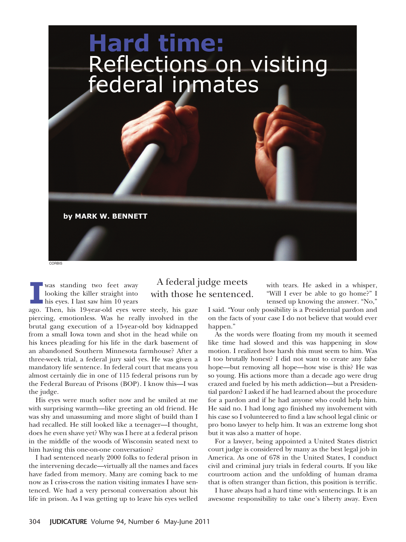

**I** was standing two feet away looking the killer straight into his eyes. I last saw him 10 years

## A federal judge meets with those he sentenced.

with tears. He asked in a whisper, "Will I ever be able to go home?" I tensed up knowing the answer. "No,"

ago. Then, his 19-year-old eyes were steely, his gaze piercing, emotionless. Was he really involved in the brutal gang execution of a 15-year-old boy kidnapped from a small Iowa town and shot in the head while on his knees pleading for his life in the dark basement of an abandoned Southern Minnesota farmhouse? After a three-week trial, a federal jury said yes. He was given a mandatory life sentence. In federal court that means you almost certainly die in one of 115 federal prisons run by the Federal Bureau of Prisons (BOP). I know this—I was the judge.

His eyes were much softer now and he smiled at me with surprising warmth—like greeting an old friend. He was shy and unassuming and more slight of build than I had recalled. He still looked like a teenager—I thought, does he even shave yet? Why was I here at a federal prison in the middle of the woods of Wisconsin seated next to him having this one-on-one conversation?

I had sentenced nearly 2000 folks to federal prison in the intervening decade—virtually all the names and faces have faded from memory. Many are coming back to me now as I criss-cross the nation visiting inmates I have sentenced. We had a very personal conversation about his life in prison. As I was getting up to leave his eyes welled I said. "Your only possibility is a Presidential pardon and on the facts of your case I do not believe that would ever happen."

As the words were floating from my mouth it seemed like time had slowed and this was happening in slow motion. I realized how harsh this must seem to him. Was I too brutally honest? I did not want to create any false hope—but removing all hope—how wise is this? He was so young. His actions more than a decade ago were drug crazed and fueled by his meth addiction—but a Presidential pardon? I asked if he had learned about the procedure for a pardon and if he had anyone who could help him. He said no. I had long ago finished my involvement with his case so I volunteered to find a law school legal clinic or pro bono lawyer to help him. It was an extreme long shot but it was also a matter of hope.

For a lawyer, being appointed a United States district court judge is considered by many as the best legal job in America. As one of 678 in the United States, I conduct civil and criminal jury trials in federal courts. If you like courtroom action and the unfolding of human drama that is often stranger than fiction, this position is terrific.

I have always had a hard time with sentencings. It is an awesome responsibility to take one's liberty away. Even